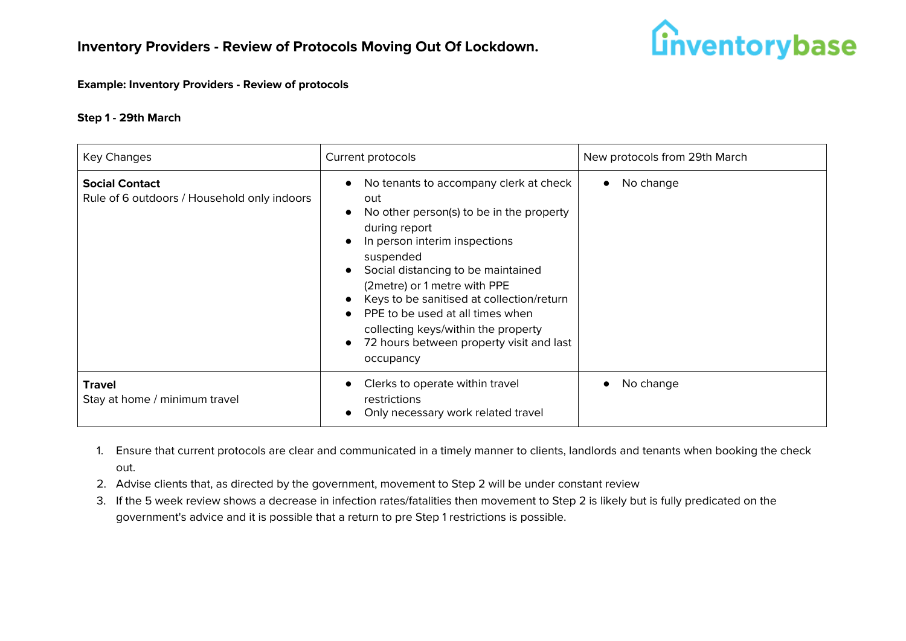

#### **Example: Inventory Providers - Review of protocols**

#### **Step 1 - 29th March**

| Key Changes                                                          | Current protocols                                                                                                                                                                                                                                                                                                                                                                                               | New protocols from 29th March |
|----------------------------------------------------------------------|-----------------------------------------------------------------------------------------------------------------------------------------------------------------------------------------------------------------------------------------------------------------------------------------------------------------------------------------------------------------------------------------------------------------|-------------------------------|
| <b>Social Contact</b><br>Rule of 6 outdoors / Household only indoors | No tenants to accompany clerk at check<br>out<br>No other person(s) to be in the property<br>during report<br>In person interim inspections<br>suspended<br>Social distancing to be maintained<br>(2metre) or 1 metre with PPE<br>Keys to be sanitised at collection/return<br>PPE to be used at all times when<br>collecting keys/within the property<br>72 hours between property visit and last<br>occupancy | No change<br>$\bullet$        |
| <b>Travel</b><br>Stay at home / minimum travel                       | Clerks to operate within travel<br>restrictions<br>Only necessary work related travel                                                                                                                                                                                                                                                                                                                           | No change                     |

- 1. Ensure that current protocols are clear and communicated in a timely manner to clients, landlords and tenants when booking the check out.
- 2. Advise clients that, as directed by the government, movement to Step 2 will be under constant review
- 3. If the 5 week review shows a decrease in infection rates/fatalities then movement to Step 2 is likely but is fully predicated on the government's advice and it is possible that a return to pre Step 1 restrictions is possible.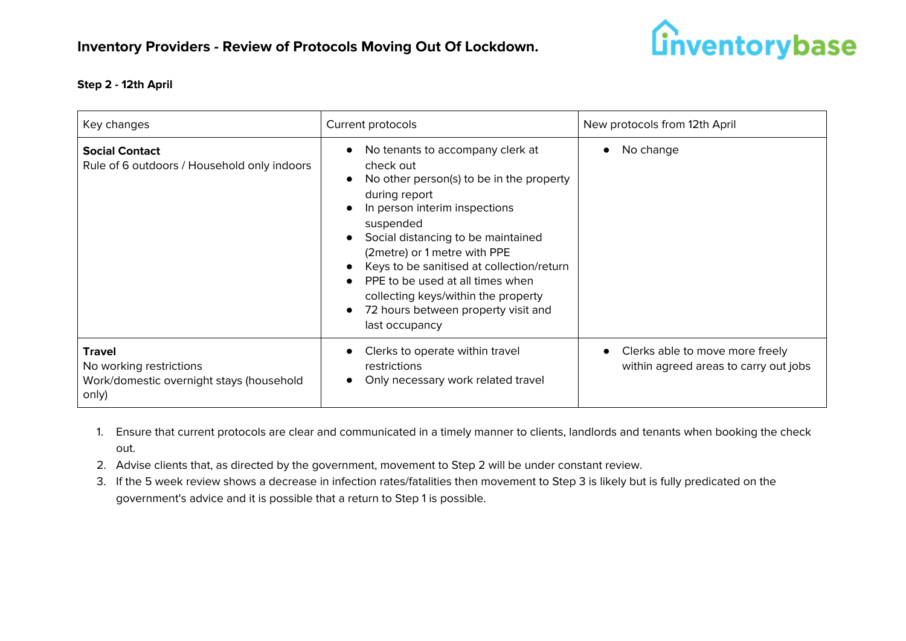

## **Step 2 - 12th April**

| Key changes                                                                                   | Current protocols                                                                                                                                                                                                                                                                                                                                                                                               | New protocols from 12th April                                            |
|-----------------------------------------------------------------------------------------------|-----------------------------------------------------------------------------------------------------------------------------------------------------------------------------------------------------------------------------------------------------------------------------------------------------------------------------------------------------------------------------------------------------------------|--------------------------------------------------------------------------|
| <b>Social Contact</b><br>Rule of 6 outdoors / Household only indoors                          | No tenants to accompany clerk at<br>check out<br>No other person(s) to be in the property<br>during report<br>In person interim inspections<br>suspended<br>Social distancing to be maintained<br>(2metre) or 1 metre with PPE<br>Keys to be sanitised at collection/return<br>PPE to be used at all times when<br>collecting keys/within the property<br>72 hours between property visit and<br>last occupancy | No change                                                                |
| <b>Travel</b><br>No working restrictions<br>Work/domestic overnight stays (household<br>only) | Clerks to operate within travel<br>restrictions<br>Only necessary work related travel                                                                                                                                                                                                                                                                                                                           | Clerks able to move more freely<br>within agreed areas to carry out jobs |

- 1. Ensure that current protocols are clear and communicated in a timely manner to clients, landlords and tenants when booking the check out.
- 2. Advise clients that, as directed by the government, movement to Step 2 will be under constant review.
- 3. If the 5 week review shows a decrease in infection rates/fatalities then movement to Step 3 is likely but is fully predicated on the government's advice and it is possible that a return to Step 1 is possible.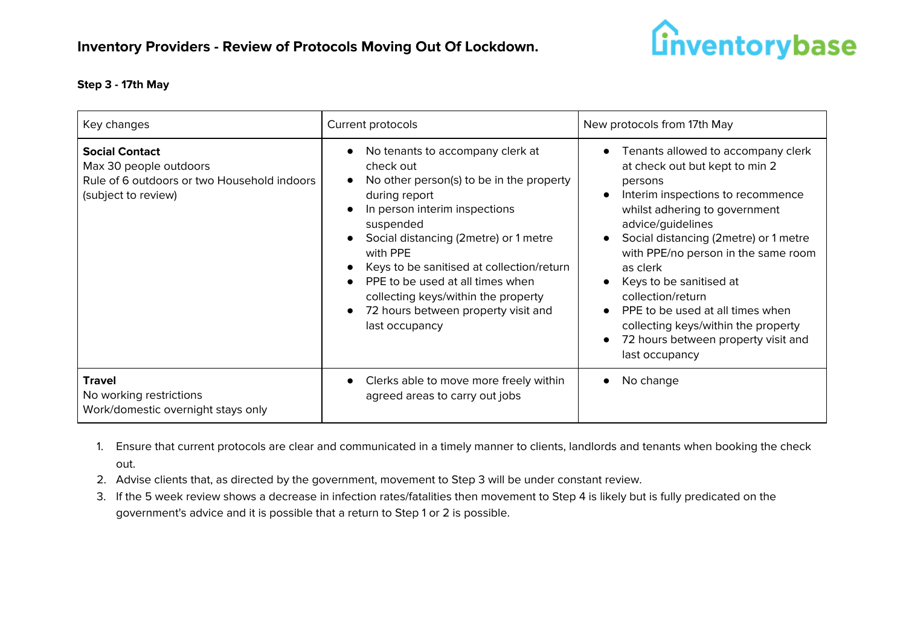

# **Step 3 - 17th May**

| Key changes                                                                                                           | Current protocols                                                                                                                                                                                                                                                                                                                                                                              | New protocols from 17th May                                                                                                                                                                                                                                                                                                                                                                                                                                |
|-----------------------------------------------------------------------------------------------------------------------|------------------------------------------------------------------------------------------------------------------------------------------------------------------------------------------------------------------------------------------------------------------------------------------------------------------------------------------------------------------------------------------------|------------------------------------------------------------------------------------------------------------------------------------------------------------------------------------------------------------------------------------------------------------------------------------------------------------------------------------------------------------------------------------------------------------------------------------------------------------|
| <b>Social Contact</b><br>Max 30 people outdoors<br>Rule of 6 outdoors or two Household indoors<br>(subject to review) | No tenants to accompany clerk at<br>check out<br>No other person(s) to be in the property<br>during report<br>In person interim inspections<br>suspended<br>Social distancing (2metre) or 1 metre<br>with PPE<br>Keys to be sanitised at collection/return<br>PPE to be used at all times when<br>collecting keys/within the property<br>72 hours between property visit and<br>last occupancy | Tenants allowed to accompany clerk<br>at check out but kept to min 2<br>persons<br>Interim inspections to recommence<br>whilst adhering to government<br>advice/guidelines<br>Social distancing (2metre) or 1 metre<br>with PPE/no person in the same room<br>as clerk<br>Keys to be sanitised at<br>collection/return<br>PPE to be used at all times when<br>collecting keys/within the property<br>72 hours between property visit and<br>last occupancy |
| <b>Travel</b><br>No working restrictions<br>Work/domestic overnight stays only                                        | Clerks able to move more freely within<br>agreed areas to carry out jobs                                                                                                                                                                                                                                                                                                                       | No change                                                                                                                                                                                                                                                                                                                                                                                                                                                  |

- 1. Ensure that current protocols are clear and communicated in a timely manner to clients, landlords and tenants when booking the check out.
- 2. Advise clients that, as directed by the government, movement to Step 3 will be under constant review.
- 3. If the 5 week review shows a decrease in infection rates/fatalities then movement to Step 4 is likely but is fully predicated on the government's advice and it is possible that a return to Step 1 or 2 is possible.